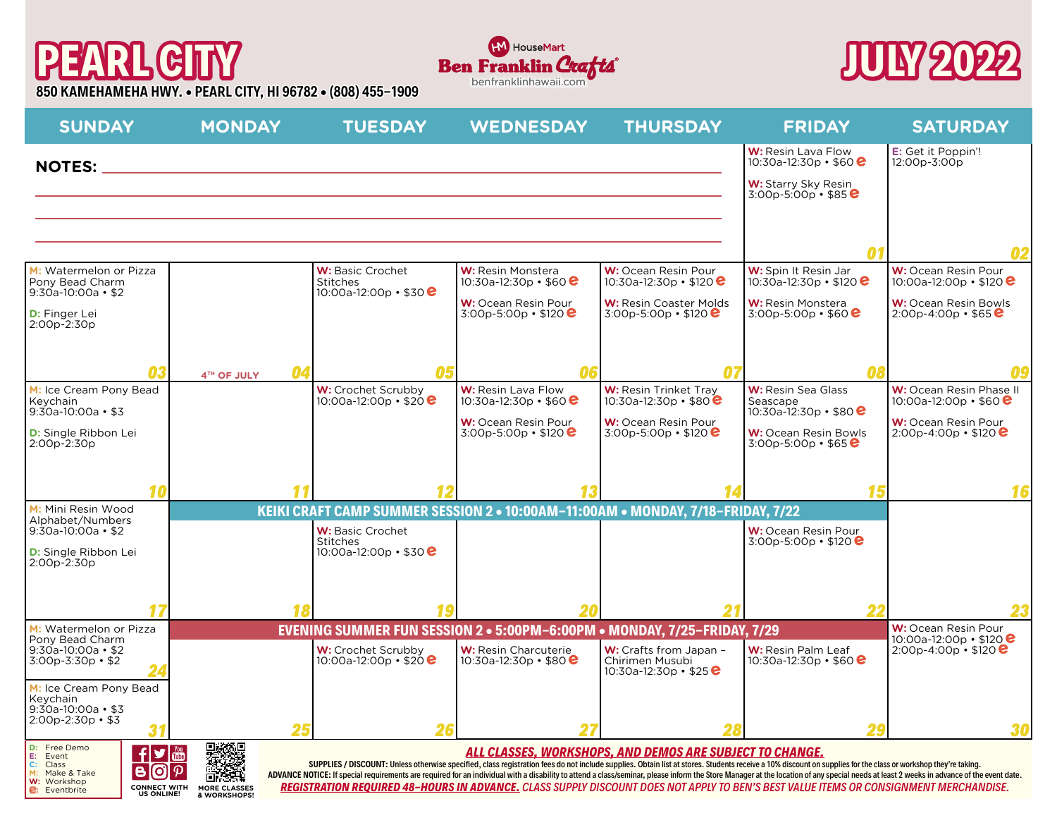## **PEARL CITY 850 KAMEHAMEHA HWY. • PEARL CITY, HI 96782 • (808) 455-1909**





| <b>SUNDAY</b>                                                                                                                 | <b>MONDAY</b>         | <b>TUESDAY</b>                                                                                                                                                                                                                                                                                                                                                                                                                                                                                                                                                                                                                                                                               | <b>WEDNESDAY</b>                                     | <b>THURSDAY</b>                                                             | <b>FRIDAY</b>                                                    | <b>SATURDAY</b>                                           |  |
|-------------------------------------------------------------------------------------------------------------------------------|-----------------------|----------------------------------------------------------------------------------------------------------------------------------------------------------------------------------------------------------------------------------------------------------------------------------------------------------------------------------------------------------------------------------------------------------------------------------------------------------------------------------------------------------------------------------------------------------------------------------------------------------------------------------------------------------------------------------------------|------------------------------------------------------|-----------------------------------------------------------------------------|------------------------------------------------------------------|-----------------------------------------------------------|--|
| <b>NOTES:</b>                                                                                                                 |                       | <u> 1989 - Andrea Stadt Britain, amerikansk politiker (d. 1989)</u>                                                                                                                                                                                                                                                                                                                                                                                                                                                                                                                                                                                                                          |                                                      |                                                                             | W: Resin Lava Flow<br>10:30a-12:30p • \$60 $e$                   | E: Get it Poppin'!<br>12:00p-3:00p                        |  |
|                                                                                                                               |                       |                                                                                                                                                                                                                                                                                                                                                                                                                                                                                                                                                                                                                                                                                              |                                                      |                                                                             | <b>W:</b> Starry Sky Resin<br>$3:00p - 5:00p \cdot $85$          |                                                           |  |
|                                                                                                                               |                       |                                                                                                                                                                                                                                                                                                                                                                                                                                                                                                                                                                                                                                                                                              |                                                      |                                                                             |                                                                  |                                                           |  |
|                                                                                                                               |                       |                                                                                                                                                                                                                                                                                                                                                                                                                                                                                                                                                                                                                                                                                              |                                                      |                                                                             |                                                                  | 02                                                        |  |
| M: Watermelon or Pizza<br>Pony Bead Charm<br>$9:30a-10:00a$ • \$2                                                             |                       | W: Basic Crochet<br><b>Stitches</b><br>10:00a-12:00p • \$30 $\bm{e}$                                                                                                                                                                                                                                                                                                                                                                                                                                                                                                                                                                                                                         | <b>W:</b> Resin Monstera<br>10:30a-12:30p • \$60 $e$ | W: Ocean Resin Pour<br>10:30a-12:30p • \$120 $\bullet$                      | W: Spin It Resin Jar<br>10:30a-12:30p · \$120 <b>e</b>           | W: Ocean Resin Pour<br>10:00a-12:00p • \$120 $\bullet$    |  |
| D: Finger Lei<br>2:00p-2:30p                                                                                                  |                       |                                                                                                                                                                                                                                                                                                                                                                                                                                                                                                                                                                                                                                                                                              | W: Ocean Resin Pour<br>$3:00p - 5:00p \cdot $120$    | W: Resin Coaster Molds<br>$3:00p - 5:00p \cdot $120$                        | <b>W:</b> Resin Monstera<br>$3:00p - 5:00p \cdot $60$            | W: Ocean Resin Bowls<br>$2:00p - 4:00p \cdot $65 \cdot C$ |  |
|                                                                                                                               |                       |                                                                                                                                                                                                                                                                                                                                                                                                                                                                                                                                                                                                                                                                                              |                                                      |                                                                             |                                                                  |                                                           |  |
| 03                                                                                                                            | 04<br>4TH OF JULY     | Λ5                                                                                                                                                                                                                                                                                                                                                                                                                                                                                                                                                                                                                                                                                           | በረ                                                   | Ω7                                                                          |                                                                  | ng                                                        |  |
| M: Ice Cream Pony Bead<br>Keychain<br>$9:30a-10:00a$ • \$3                                                                    |                       | W: Crochet Scrubby<br>10:00a-12:00p • \$20 $\bullet$                                                                                                                                                                                                                                                                                                                                                                                                                                                                                                                                                                                                                                         | W: Resin Lava Flow<br>10:30a-12:30p • \$60 $e$       | <b>W:</b> Resin Trinket Trav<br>10:30a-12:30p • \$80 $e$                    | W: Resin Sea Glass<br>Seascape<br>10:30a-12:30p • \$80 $\bullet$ | W: Ocean Resin Phase II<br>10:00a-12:00p • \$60 $e$       |  |
| <b>D:</b> Single Ribbon Lei<br>2:00p-2:30p                                                                                    |                       |                                                                                                                                                                                                                                                                                                                                                                                                                                                                                                                                                                                                                                                                                              | W: Ocean Resin Pour<br>3:00p-5:00p • \$120 $\bullet$ | W: Ocean Resin Pour<br>3:00p-5:00p • \$120 $\bullet$                        | <b>W:</b> Ocean Resin Bowls<br>$3:00p - 5:00p \cdot $65$         | W: Ocean Resin Pour<br>$2:00p-4:00p \cdot $120$           |  |
|                                                                                                                               |                       |                                                                                                                                                                                                                                                                                                                                                                                                                                                                                                                                                                                                                                                                                              |                                                      |                                                                             |                                                                  |                                                           |  |
| 10<br>M: Mini Resin Wood                                                                                                      |                       | KEIKI CRAFT CAMP SUMMER SESSION 2 . 10:00AM-11:00AM . MONDAY, 7/18-FRIDAY, 7/22                                                                                                                                                                                                                                                                                                                                                                                                                                                                                                                                                                                                              |                                                      |                                                                             | 15                                                               | 16                                                        |  |
| Alphabet/Numbers<br>$9:30a-10:00a \cdot $2$                                                                                   |                       | W: Basic Crochet                                                                                                                                                                                                                                                                                                                                                                                                                                                                                                                                                                                                                                                                             |                                                      |                                                                             | W: Ocean Resin Pour                                              |                                                           |  |
| <b>D:</b> Single Ribbon Lei<br>2:00p-2:30p                                                                                    |                       | <b>Stitches</b><br>10:00a-12:00p · \$30 <b>e</b>                                                                                                                                                                                                                                                                                                                                                                                                                                                                                                                                                                                                                                             |                                                      |                                                                             | 3:00p-5:00p • \$120 $\bullet$                                    |                                                           |  |
|                                                                                                                               |                       |                                                                                                                                                                                                                                                                                                                                                                                                                                                                                                                                                                                                                                                                                              |                                                      |                                                                             |                                                                  |                                                           |  |
|                                                                                                                               | 18                    |                                                                                                                                                                                                                                                                                                                                                                                                                                                                                                                                                                                                                                                                                              |                                                      |                                                                             |                                                                  |                                                           |  |
| M: Watermelon or Pizza<br>Pony Bead Charm                                                                                     |                       | EVENING SUMMER FUN SESSION 2 . 5:00PM-6:00PM . MONDAY, 7/25-FRIDAY, 7/29                                                                                                                                                                                                                                                                                                                                                                                                                                                                                                                                                                                                                     |                                                      |                                                                             |                                                                  | W: Ocean Resin Pour<br>10:00a-12:00p • \$120 $\bullet$    |  |
| $9:30a-10:00a$ • \$2<br>$3:00p - 3:30p - $2$                                                                                  |                       | W: Crochet Scrubby<br>10:00a-12:00p • \$20 $e$                                                                                                                                                                                                                                                                                                                                                                                                                                                                                                                                                                                                                                               | W: Resin Charcuterie<br>10:30a-12:30p • \$80 $e$     | W: Crafts from Japan -<br>Chirimen Musubi<br>10:30a-12:30p • \$25 $\bullet$ | <b>W:</b> Resin Palm Leaf<br>10:30a-12:30p • \$60 $e$            | $2:00p - 4:00p \cdot $120$                                |  |
| M: Ice Cream Pony Bead<br>Keychain                                                                                            |                       |                                                                                                                                                                                                                                                                                                                                                                                                                                                                                                                                                                                                                                                                                              |                                                      |                                                                             |                                                                  |                                                           |  |
| $9:30a-10:00a$ • \$3<br>$2:00p-2:30p$ • \$3                                                                                   | 25                    |                                                                                                                                                                                                                                                                                                                                                                                                                                                                                                                                                                                                                                                                                              |                                                      |                                                                             |                                                                  | 30                                                        |  |
| D: Free Demo<br>$\mathbf{f}$<br>E: Event                                                                                      |                       | ALL CLASSES, WORKSHOPS, AND DEMOS ARE SUBJECT TO CHANGE.<br>SUPPLIES / DISCOUNT: Unless otherwise specified, class registration fees do not include supplies. Obtain list at stores. Students receive a 10% discount on supplies for the class or workshop they're taking.<br>ADVANCE NOTICE: If special requirements are required for an individual with a disability to attend a class/seminar, please inform the Store Manager at the location of any special needs at least 2 weeks in advance of the ev<br>REGISTRATION REQUIRED 48-HOURS IN ADVANCE. CLASS SUPPLY DISCOUNT DOES NOT APPLY TO BEN'S BEST VALUE ITEMS OR CONSIGNMENT MERCHANDISE.<br><b>MORE CLASSES</b><br>& WORKSHOPS! |                                                      |                                                                             |                                                                  |                                                           |  |
| C:<br>Class<br>[ପ]<br>B<br>M: Make & Take<br>W: Workshop<br><b>CONNECT WITH</b><br><b>e</b> : Eventbrite<br><b>US ONLINE!</b> | $\vert \varphi \vert$ |                                                                                                                                                                                                                                                                                                                                                                                                                                                                                                                                                                                                                                                                                              |                                                      |                                                                             |                                                                  |                                                           |  |